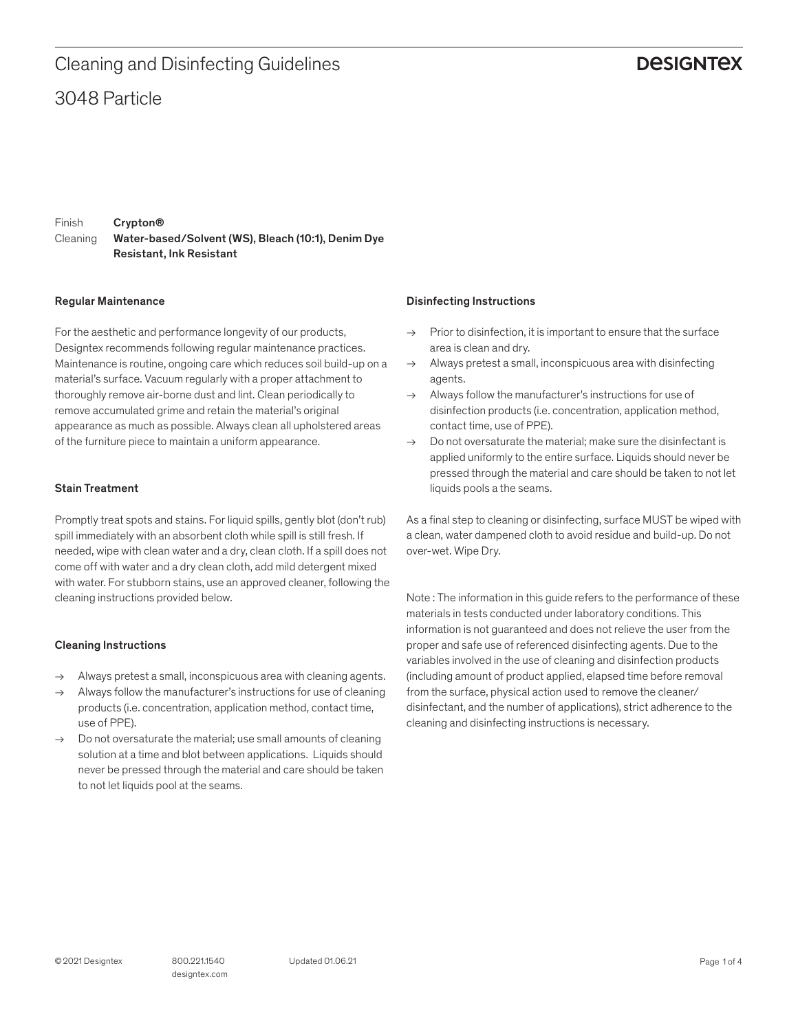### 3048 Particle Cleaning and Disinfecting Guidelines

### **DESIGNTEX**

Finish Cleaning Crypton® Water-based/Solvent (WS), Bleach (10:1), Denim Dye Resistant, Ink Resistant

#### Regular Maintenance

For the aesthetic and performance longevity of our products, Designtex recommends following regular maintenance practices. Maintenance is routine, ongoing care which reduces soil build-up on a material's surface. Vacuum regularly with a proper attachment to thoroughly remove air-borne dust and lint. Clean periodically to remove accumulated grime and retain the material's original appearance as much as possible. Always clean all upholstered areas of the furniture piece to maintain a uniform appearance.

#### Stain Treatment

Promptly treat spots and stains. For liquid spills, gently blot (don't rub) spill immediately with an absorbent cloth while spill is still fresh. If needed, wipe with clean water and a dry, clean cloth. If a spill does not come off with water and a dry clean cloth, add mild detergent mixed with water. For stubborn stains, use an approved cleaner, following the cleaning instructions provided below.

### Cleaning Instructions

- $\rightarrow$  Always pretest a small, inconspicuous area with cleaning agents.
- $\rightarrow$  Always follow the manufacturer's instructions for use of cleaning products (i.e. concentration, application method, contact time, use of PPE).
- $\rightarrow$  Do not oversaturate the material; use small amounts of cleaning solution at a time and blot between applications. Liquids should never be pressed through the material and care should be taken to not let liquids pool at the seams.

#### Disinfecting Instructions

- $\rightarrow$  Prior to disinfection, it is important to ensure that the surface area is clean and dry.
- $\rightarrow$  Always pretest a small, inconspicuous area with disinfecting agents.
- $\rightarrow$  Always follow the manufacturer's instructions for use of disinfection products (i.e. concentration, application method, contact time, use of PPE).
- $\rightarrow$  Do not oversaturate the material: make sure the disinfectant is applied uniformly to the entire surface. Liquids should never be pressed through the material and care should be taken to not let liquids pools a the seams.

As a final step to cleaning or disinfecting, surface MUST be wiped with a clean, water dampened cloth to avoid residue and build-up. Do not over-wet. Wipe Dry.

Note : The information in this guide refers to the performance of these materials in tests conducted under laboratory conditions. This information is not guaranteed and does not relieve the user from the proper and safe use of referenced disinfecting agents. Due to the variables involved in the use of cleaning and disinfection products (including amount of product applied, elapsed time before removal from the surface, physical action used to remove the cleaner/ disinfectant, and the number of applications), strict adherence to the cleaning and disinfecting instructions is necessary.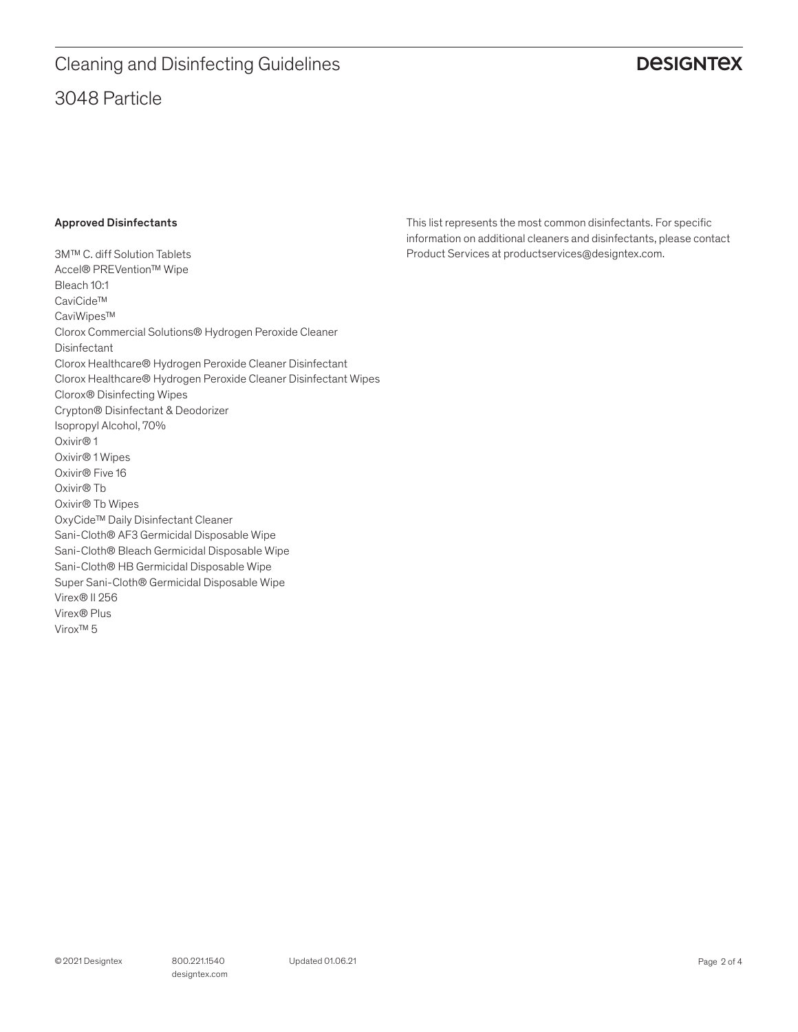# 3048 Particle Cleaning and Disinfecting Guidelines

### **DESIGNTEX**

### Approved Disinfectants

3M™ C. diff Solution Tablets Accel® PREVention™ Wipe Bleach 10:1 CaviCide™ CaviWipes™ Clorox Commercial Solutions® Hydrogen Peroxide Cleaner Disinfectant Clorox Healthcare® Hydrogen Peroxide Cleaner Disinfectant Clorox Healthcare® Hydrogen Peroxide Cleaner Disinfectant Wipes Clorox® Disinfecting Wipes Crypton® Disinfectant & Deodorizer Isopropyl Alcohol, 70% Oxivir® 1 Oxivir® 1 Wipes Oxivir® Five 16 Oxivir® Tb Oxivir® Tb Wipes OxyCide™ Daily Disinfectant Cleaner Sani-Cloth® AF3 Germicidal Disposable Wipe Sani-Cloth® Bleach Germicidal Disposable Wipe Sani-Cloth® HB Germicidal Disposable Wipe Super Sani-Cloth® Germicidal Disposable Wipe Virex® II 256 Virex® Plus Virox™ 5

This list represents the most common disinfectants. For specific information on additional cleaners and disinfectants, please contact Product Services at productservices@designtex.com.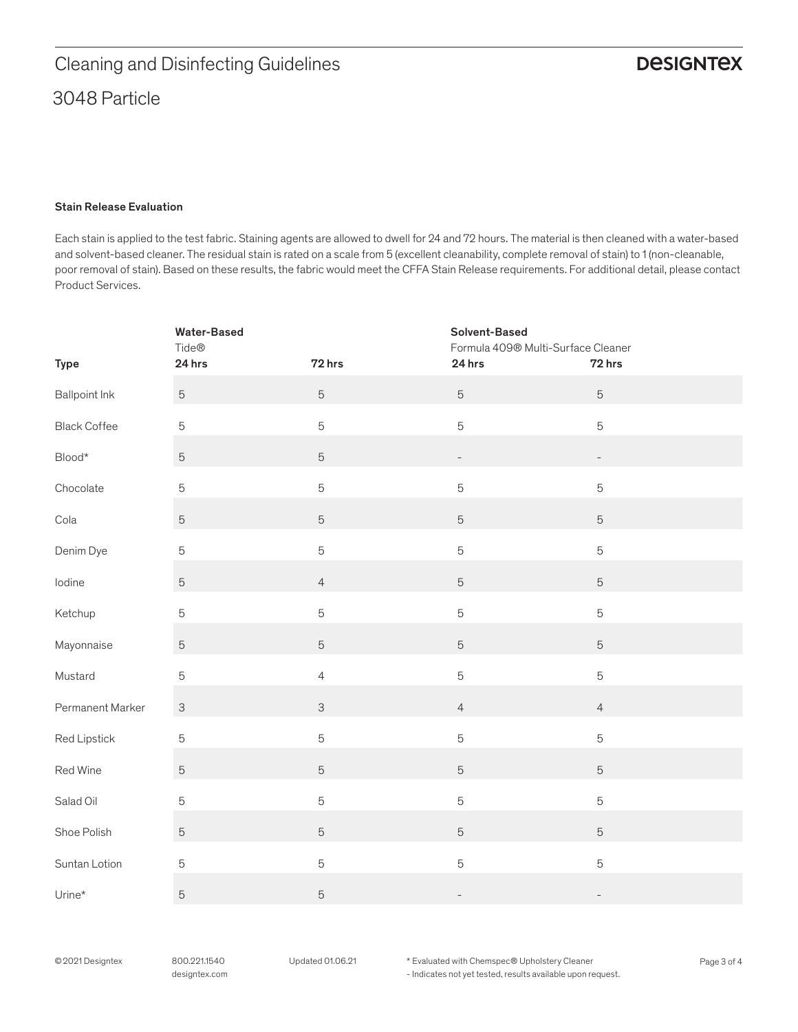### Stain Release Evaluation

Each stain is applied to the test fabric. Staining agents are allowed to dwell for 24 and 72 hours. The material is then cleaned with a water-based and solvent-based cleaner. The residual stain is rated on a scale from 5 (excellent cleanability, complete removal of stain) to 1 (non-cleanable, poor removal of stain). Based on these results, the fabric would meet the CFFA Stain Release requirements. For additional detail, please contact Product Services.

|                            | <b>Water-Based</b><br>Tide® |                | Solvent-Based<br>Formula 409® Multi-Surface Cleaner |                          |
|----------------------------|-----------------------------|----------------|-----------------------------------------------------|--------------------------|
| <b>Type</b>                | 24 hrs                      | 72 hrs         | 24 hrs                                              | 72 hrs                   |
| <b>Ballpoint Ink</b>       | $\mathbf 5$                 | 5              | $\sqrt{5}$                                          | $\sqrt{5}$               |
| <b>Black Coffee</b>        | $\mathbf 5$                 | 5              | $\overline{5}$                                      | $\mathbf 5$              |
| $\mathsf{Blood}{}^{\star}$ | $\mathbf 5$                 | $\sqrt{5}$     | $\qquad \qquad -$                                   | $\overline{\phantom{0}}$ |
| Chocolate                  | $\mathbf 5$                 | 5              | $\mathbf 5$                                         | $\mathbf 5$              |
| Cola                       | $\mathbf 5$                 | $\sqrt{5}$     | $\mathbf 5$                                         | $\sqrt{5}$               |
| Denim Dye                  | $\mathbf 5$                 | 5              | $\mathbf 5$                                         | $\mathbf 5$              |
| lodine                     | $\mathbf 5$                 | $\overline{4}$ | $\mathbf 5$                                         | $\sqrt{5}$               |
| Ketchup                    | $\mathbf 5$                 | 5              | $\mathbf 5$                                         | $\mathbf 5$              |
| Mayonnaise                 | $\mathbf 5$                 | $\sqrt{5}$     | $\mathbf 5$                                         | $\sqrt{5}$               |
| Mustard                    | $\mathbf 5$                 | $\overline{4}$ | $\mathbf 5$                                         | $\mathbf 5$              |
| Permanent Marker           | $\ensuremath{\mathsf{3}}$   | $\mathsf{3}$   | $\overline{4}$                                      | $\overline{4}$           |
| Red Lipstick               | 5                           | 5              | $\mathbf 5$                                         | $\mathbf 5$              |
| Red Wine                   | $\mathbf 5$                 | $\sqrt{5}$     | $\mathbf 5$                                         | $\sqrt{5}$               |
| Salad Oil                  | 5                           | 5              | $\mathbf 5$                                         | $\mathbf 5$              |
| Shoe Polish                | $\mathbf 5$                 | $\sqrt{5}$     | $\mathbf 5$                                         | $\sqrt{5}$               |
| Suntan Lotion              | 5                           | 5              | $\mathbf 5$                                         | $\mathbf 5$              |
| Urine*                     | $\mathbf 5$                 | $\mathbf 5$    | $\overline{\phantom{0}}$                            | $\overline{\phantom{a}}$ |

© 2021 Designtex 800.221.1540 Updated 01.06.21 \* Evaluated with Chemspec® Upholstery Cleaner Page 3 of 4 - Indicates not yet tested, results available upon request.